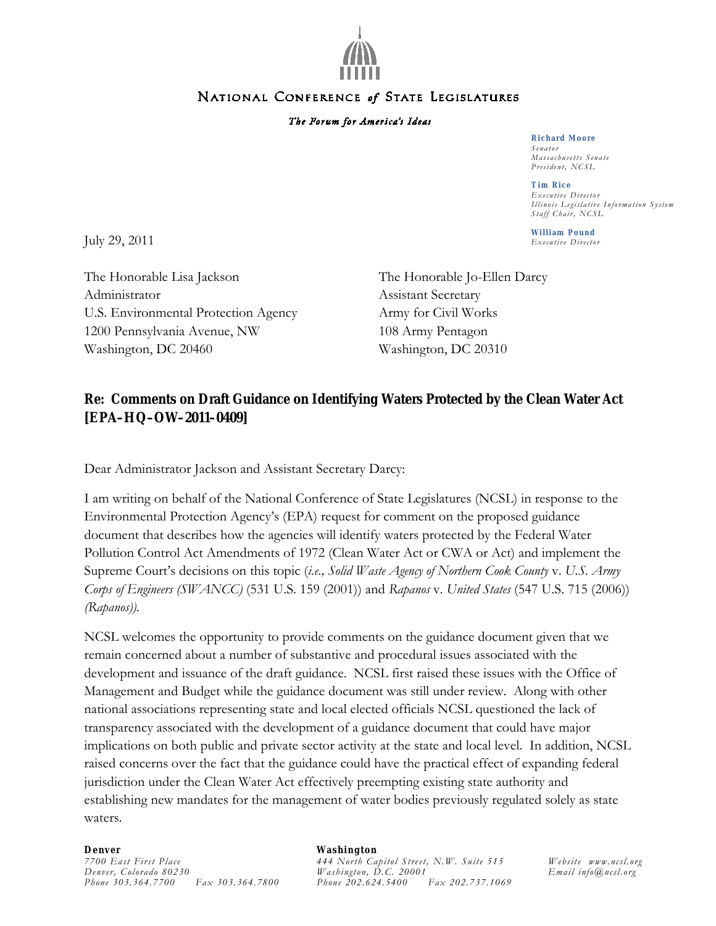

## NATIONAL CONFERENCE of STATE LEGISLATURES

## The Forum for America's Ideas

#### **Richard Moore** *Senator Massachusetts Senate President, NCSL*

**Tim Rice** *Executive Director Illin ois Legislative Information System Staff Chair, NCSL*

**William Pound**

July 29, 2011 *Executive Director*

The Honorable Lisa Jackson The Honorable Jo-Ellen Darcy Administrator Assistant Secretary U.S. Environmental Protection Agency Army for Civil Works 1200 Pennsylvania Avenue, NW 108 Army Pentagon Washington, DC 20460 Washington, DC 20310

# **Re: Comments on Draft Guidance on Identifying Waters Protected by the Clean Water Act [EPA–HQ–OW–2011–0409]**

Dear Administrator Jackson and Assistant Secretary Darcy:

I am writing on behalf of the National Conference of State Legislatures (NCSL) in response to the Environmental Protection Agency's (EPA) request for comment on the proposed guidance document that describes how the agencies will identify waters protected by the Federal Water Pollution Control Act Amendments of 1972 (Clean Water Act or CWA or Act) and implement the Supreme Court's decisions on this topic (*i.e., Solid Waste Agency of Northern Cook County* v. *U.S. Army Corps of Engineers (SWANCC)* (531 U.S. 159 (2001)) and *Rapanos* v. *United States* (547 U.S. 715 (2006)) *(Rapanos)).* 

NCSL welcomes the opportunity to provide comments on the guidance document given that we remain concerned about a number of substantive and procedural issues associated with the development and issuance of the draft guidance. NCSL first raised these issues with the Office of Management and Budget while the guidance document was still under review. Along with other national associations representing state and local elected officials NCSL questioned the lack of transparency associated with the development of a guidance document that could have major implications on both public and private sector activity at the state and local level. In addition, NCSL raised concerns over the fact that the guidance could have the practical effect of expanding federal jurisdiction under the Clean Water Act effectively preempting existing state authority and establishing new mandates for the management of water bodies previously regulated solely as state waters.

### **Denver** *7700 East First Place Denver, Colorado 80230 Phone 303.364.7700 Fax 303.364.7800*

### **Washington**

*444 North Capitol Street, N.W. Suite 515 Washington, D.C. 20001 Phone 202.624.5400 Fax 202.737.1069*

*Website [www.ncsl.org](http://www.ncsl.org/) Email info@ncsl.org*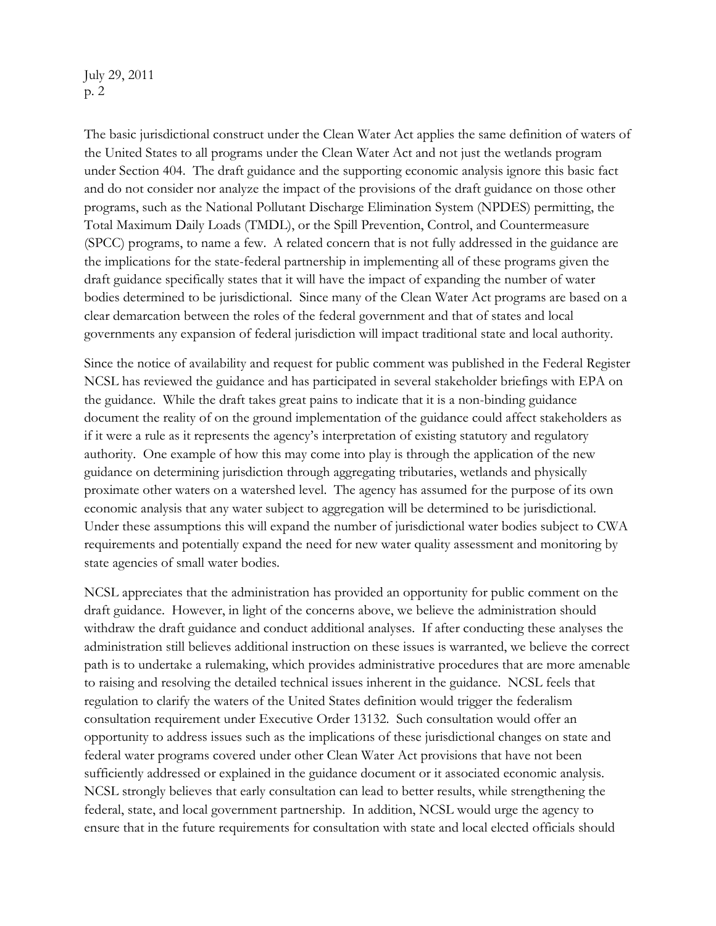July 29, 2011 p. 2

The basic jurisdictional construct under the Clean Water Act applies the same definition of waters of the United States to all programs under the Clean Water Act and not just the wetlands program under Section 404. The draft guidance and the supporting economic analysis ignore this basic fact and do not consider nor analyze the impact of the provisions of the draft guidance on those other programs, such as the National Pollutant Discharge Elimination System (NPDES) permitting, the Total Maximum Daily Loads (TMDL), or the Spill Prevention, Control, and Countermeasure (SPCC) programs, to name a few. A related concern that is not fully addressed in the guidance are the implications for the state-federal partnership in implementing all of these programs given the draft guidance specifically states that it will have the impact of expanding the number of water bodies determined to be jurisdictional. Since many of the Clean Water Act programs are based on a clear demarcation between the roles of the federal government and that of states and local governments any expansion of federal jurisdiction will impact traditional state and local authority.

Since the notice of availability and request for public comment was published in the Federal Register NCSL has reviewed the guidance and has participated in several stakeholder briefings with EPA on the guidance. While the draft takes great pains to indicate that it is a non-binding guidance document the reality of on the ground implementation of the guidance could affect stakeholders as if it were a rule as it represents the agency's interpretation of existing statutory and regulatory authority. One example of how this may come into play is through the application of the new guidance on determining jurisdiction through aggregating tributaries, wetlands and physically proximate other waters on a watershed level. The agency has assumed for the purpose of its own economic analysis that any water subject to aggregation will be determined to be jurisdictional. Under these assumptions this will expand the number of jurisdictional water bodies subject to CWA requirements and potentially expand the need for new water quality assessment and monitoring by state agencies of small water bodies.

NCSL appreciates that the administration has provided an opportunity for public comment on the draft guidance. However, in light of the concerns above, we believe the administration should withdraw the draft guidance and conduct additional analyses. If after conducting these analyses the administration still believes additional instruction on these issues is warranted, we believe the correct path is to undertake a rulemaking, which provides administrative procedures that are more amenable to raising and resolving the detailed technical issues inherent in the guidance. NCSL feels that regulation to clarify the waters of the United States definition would trigger the federalism consultation requirement under Executive Order 13132. Such consultation would offer an opportunity to address issues such as the implications of these jurisdictional changes on state and federal water programs covered under other Clean Water Act provisions that have not been sufficiently addressed or explained in the guidance document or it associated economic analysis. NCSL strongly believes that early consultation can lead to better results, while strengthening the federal, state, and local government partnership. In addition, NCSL would urge the agency to ensure that in the future requirements for consultation with state and local elected officials should